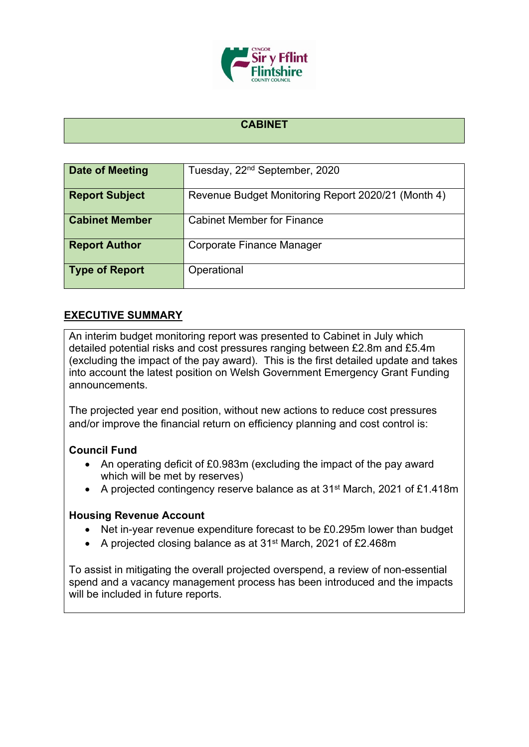

## **CABINET**

| Date of Meeting       | Tuesday, 22 <sup>nd</sup> September, 2020          |
|-----------------------|----------------------------------------------------|
| <b>Report Subject</b> | Revenue Budget Monitoring Report 2020/21 (Month 4) |
| <b>Cabinet Member</b> | <b>Cabinet Member for Finance</b>                  |
| <b>Report Author</b>  | Corporate Finance Manager                          |
| <b>Type of Report</b> | Operational                                        |

## **EXECUTIVE SUMMARY**

An interim budget monitoring report was presented to Cabinet in July which detailed potential risks and cost pressures ranging between £2.8m and £5.4m (excluding the impact of the pay award). This is the first detailed update and takes into account the latest position on Welsh Government Emergency Grant Funding announcements.

The projected year end position, without new actions to reduce cost pressures and/or improve the financial return on efficiency planning and cost control is:

#### **Council Fund**

- An operating deficit of £0.983m (excluding the impact of the pay award which will be met by reserves)
- A projected contingency reserve balance as at 31<sup>st</sup> March, 2021 of £1.418m

#### **Housing Revenue Account**

- Net in-year revenue expenditure forecast to be £0.295m lower than budget
- A projected closing balance as at 31st March, 2021 of £2.468m

To assist in mitigating the overall projected overspend, a review of non-essential spend and a vacancy management process has been introduced and the impacts will be included in future reports.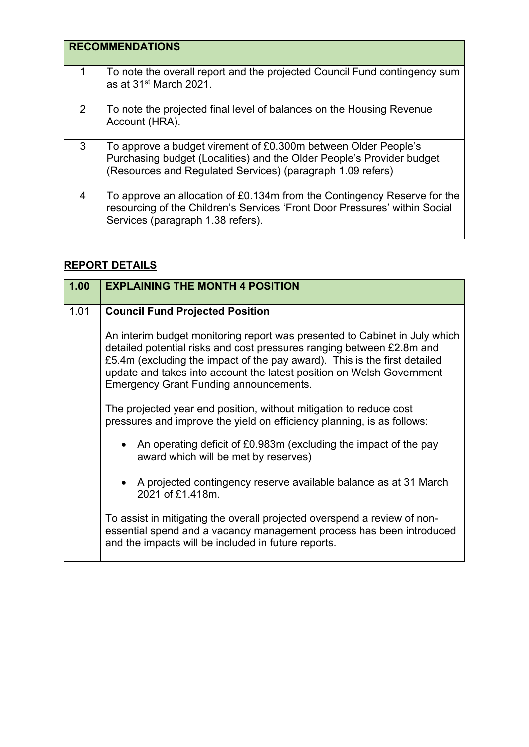|   | <b>RECOMMENDATIONS</b>                                                                                                                                                                                |
|---|-------------------------------------------------------------------------------------------------------------------------------------------------------------------------------------------------------|
| 1 | To note the overall report and the projected Council Fund contingency sum<br>as at 31 <sup>st</sup> March 2021.                                                                                       |
| 2 | To note the projected final level of balances on the Housing Revenue<br>Account (HRA).                                                                                                                |
| 3 | To approve a budget virement of £0.300m between Older People's<br>Purchasing budget (Localities) and the Older People's Provider budget<br>(Resources and Regulated Services) (paragraph 1.09 refers) |
| 4 | To approve an allocation of £0.134m from the Contingency Reserve for the<br>resourcing of the Children's Services 'Front Door Pressures' within Social<br>Services (paragraph 1.38 refers).           |

# **REPORT DETAILS**

| 1.00 | <b>EXPLAINING THE MONTH 4 POSITION</b>                                                                                                                                                                                                                                                                                                                     |
|------|------------------------------------------------------------------------------------------------------------------------------------------------------------------------------------------------------------------------------------------------------------------------------------------------------------------------------------------------------------|
| 1.01 | <b>Council Fund Projected Position</b>                                                                                                                                                                                                                                                                                                                     |
|      | An interim budget monitoring report was presented to Cabinet in July which<br>detailed potential risks and cost pressures ranging between £2.8m and<br>£5.4m (excluding the impact of the pay award). This is the first detailed<br>update and takes into account the latest position on Welsh Government<br><b>Emergency Grant Funding announcements.</b> |
|      | The projected year end position, without mitigation to reduce cost<br>pressures and improve the yield on efficiency planning, is as follows:                                                                                                                                                                                                               |
|      | • An operating deficit of £0.983m (excluding the impact of the pay<br>award which will be met by reserves)                                                                                                                                                                                                                                                 |
|      | • A projected contingency reserve available balance as at 31 March<br>2021 of £1.418m.                                                                                                                                                                                                                                                                     |
|      | To assist in mitigating the overall projected overspend a review of non-<br>essential spend and a vacancy management process has been introduced<br>and the impacts will be included in future reports.                                                                                                                                                    |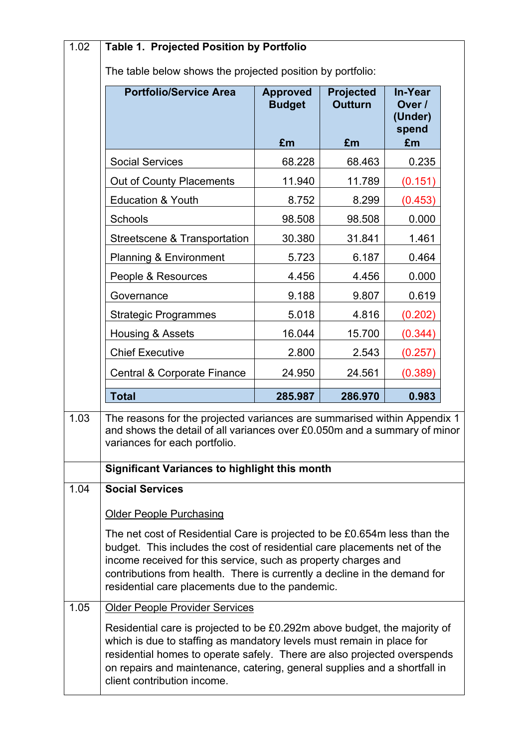| 1.02 | Table 1. Projected Position by Portfolio                                                                                                                                                                                                                                                                                                                 |                                  |                                    |                                              |  |
|------|----------------------------------------------------------------------------------------------------------------------------------------------------------------------------------------------------------------------------------------------------------------------------------------------------------------------------------------------------------|----------------------------------|------------------------------------|----------------------------------------------|--|
|      | The table below shows the projected position by portfolio:                                                                                                                                                                                                                                                                                               |                                  |                                    |                                              |  |
|      | <b>Portfolio/Service Area</b>                                                                                                                                                                                                                                                                                                                            | <b>Approved</b><br><b>Budget</b> | <b>Projected</b><br><b>Outturn</b> | <b>In-Year</b><br>Over /<br>(Under)<br>spend |  |
|      |                                                                                                                                                                                                                                                                                                                                                          | £m                               | £m                                 | £m                                           |  |
|      | <b>Social Services</b>                                                                                                                                                                                                                                                                                                                                   | 68.228                           | 68.463                             | 0.235                                        |  |
|      | Out of County Placements                                                                                                                                                                                                                                                                                                                                 | 11.940                           | 11.789                             | (0.151)                                      |  |
|      | <b>Education &amp; Youth</b>                                                                                                                                                                                                                                                                                                                             | 8.752                            | 8.299                              | (0.453)                                      |  |
|      | Schools                                                                                                                                                                                                                                                                                                                                                  | 98.508                           | 98.508                             | 0.000                                        |  |
|      | Streetscene & Transportation                                                                                                                                                                                                                                                                                                                             | 30.380                           | 31.841                             | 1.461                                        |  |
|      | <b>Planning &amp; Environment</b>                                                                                                                                                                                                                                                                                                                        | 5.723                            | 6.187                              | 0.464                                        |  |
|      | People & Resources                                                                                                                                                                                                                                                                                                                                       | 4.456                            | 4.456                              | 0.000                                        |  |
|      | Governance                                                                                                                                                                                                                                                                                                                                               | 9.188                            | 9.807                              | 0.619                                        |  |
|      | <b>Strategic Programmes</b>                                                                                                                                                                                                                                                                                                                              | 5.018                            | 4.816                              | (0.202)                                      |  |
|      | Housing & Assets                                                                                                                                                                                                                                                                                                                                         | 16.044                           | 15.700                             | (0.344)                                      |  |
|      | <b>Chief Executive</b>                                                                                                                                                                                                                                                                                                                                   | 2.800                            | 2.543                              | (0.257)                                      |  |
|      | <b>Central &amp; Corporate Finance</b>                                                                                                                                                                                                                                                                                                                   | 24.950                           | 24.561                             | (0.389)                                      |  |
|      | <b>Total</b>                                                                                                                                                                                                                                                                                                                                             | 285.987                          | 286.970                            | 0.983                                        |  |
| 1.03 | The reasons for the projected variances are summarised within Appendix 1<br>and shows the detail of all variances over £0.050m and a summary of minor<br>variances for each portfolio.                                                                                                                                                                   |                                  |                                    |                                              |  |
|      | Significant Variances to highlight this month                                                                                                                                                                                                                                                                                                            |                                  |                                    |                                              |  |
| 1.04 | <b>Social Services</b>                                                                                                                                                                                                                                                                                                                                   |                                  |                                    |                                              |  |
|      | <b>Older People Purchasing</b>                                                                                                                                                                                                                                                                                                                           |                                  |                                    |                                              |  |
|      | The net cost of Residential Care is projected to be £0.654m less than the<br>budget. This includes the cost of residential care placements net of the<br>income received for this service, such as property charges and<br>contributions from health. There is currently a decline in the demand for<br>residential care placements due to the pandemic. |                                  |                                    |                                              |  |
| 1.05 | <b>Older People Provider Services</b>                                                                                                                                                                                                                                                                                                                    |                                  |                                    |                                              |  |
|      | Residential care is projected to be £0.292m above budget, the majority of<br>which is due to staffing as mandatory levels must remain in place for<br>residential homes to operate safely. There are also projected overspends<br>on repairs and maintenance, catering, general supplies and a shortfall in<br>client contribution income.               |                                  |                                    |                                              |  |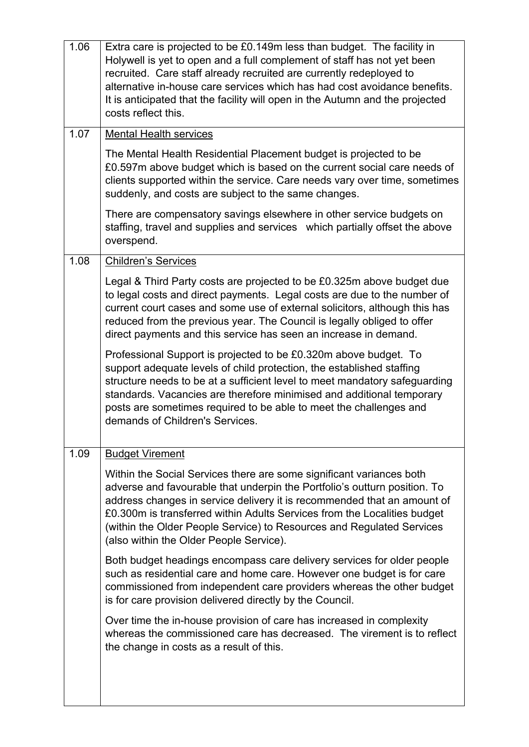| 1.06 | Extra care is projected to be £0.149m less than budget. The facility in<br>Holywell is yet to open and a full complement of staff has not yet been<br>recruited. Care staff already recruited are currently redeployed to<br>alternative in-house care services which has had cost avoidance benefits.<br>It is anticipated that the facility will open in the Autumn and the projected<br>costs reflect this.               |
|------|------------------------------------------------------------------------------------------------------------------------------------------------------------------------------------------------------------------------------------------------------------------------------------------------------------------------------------------------------------------------------------------------------------------------------|
| 1.07 | <b>Mental Health services</b>                                                                                                                                                                                                                                                                                                                                                                                                |
|      | The Mental Health Residential Placement budget is projected to be<br>£0.597m above budget which is based on the current social care needs of<br>clients supported within the service. Care needs vary over time, sometimes<br>suddenly, and costs are subject to the same changes.                                                                                                                                           |
|      | There are compensatory savings elsewhere in other service budgets on<br>staffing, travel and supplies and services which partially offset the above<br>overspend.                                                                                                                                                                                                                                                            |
| 1.08 | <b>Children's Services</b>                                                                                                                                                                                                                                                                                                                                                                                                   |
|      | Legal & Third Party costs are projected to be £0.325m above budget due<br>to legal costs and direct payments. Legal costs are due to the number of<br>current court cases and some use of external solicitors, although this has<br>reduced from the previous year. The Council is legally obliged to offer<br>direct payments and this service has seen an increase in demand.                                              |
|      | Professional Support is projected to be £0.320m above budget. To<br>support adequate levels of child protection, the established staffing<br>structure needs to be at a sufficient level to meet mandatory safeguarding<br>standards. Vacancies are therefore minimised and additional temporary<br>posts are sometimes required to be able to meet the challenges and<br>demands of Children's Services.                    |
| 1.09 | <b>Budget Virement</b>                                                                                                                                                                                                                                                                                                                                                                                                       |
|      | Within the Social Services there are some significant variances both<br>adverse and favourable that underpin the Portfolio's outturn position. To<br>address changes in service delivery it is recommended that an amount of<br>£0.300m is transferred within Adults Services from the Localities budget<br>(within the Older People Service) to Resources and Regulated Services<br>(also within the Older People Service). |
|      | Both budget headings encompass care delivery services for older people<br>such as residential care and home care. However one budget is for care<br>commissioned from independent care providers whereas the other budget<br>is for care provision delivered directly by the Council.                                                                                                                                        |
|      | Over time the in-house provision of care has increased in complexity<br>whereas the commissioned care has decreased. The virement is to reflect<br>the change in costs as a result of this.                                                                                                                                                                                                                                  |
|      |                                                                                                                                                                                                                                                                                                                                                                                                                              |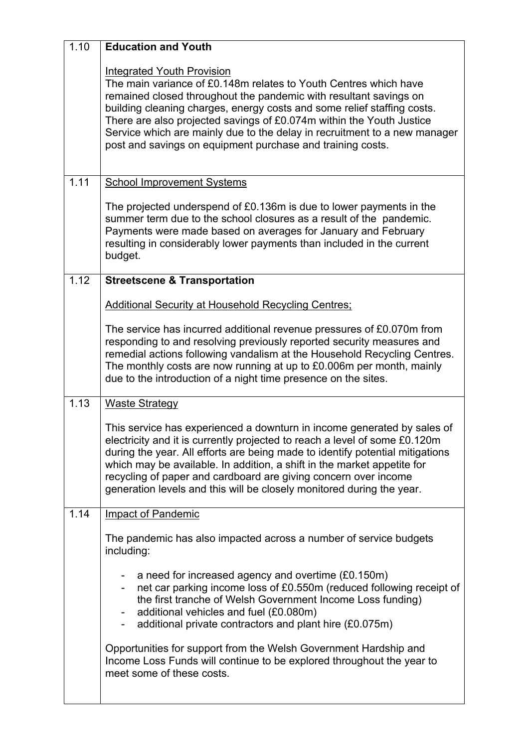| 1.10 | <b>Education and Youth</b>                                                                                                                                                                                                                                                                                                                                                                                                                                               |
|------|--------------------------------------------------------------------------------------------------------------------------------------------------------------------------------------------------------------------------------------------------------------------------------------------------------------------------------------------------------------------------------------------------------------------------------------------------------------------------|
|      | <b>Integrated Youth Provision</b><br>The main variance of £0.148m relates to Youth Centres which have<br>remained closed throughout the pandemic with resultant savings on<br>building cleaning charges, energy costs and some relief staffing costs.<br>There are also projected savings of £0.074m within the Youth Justice<br>Service which are mainly due to the delay in recruitment to a new manager<br>post and savings on equipment purchase and training costs. |
| 1.11 | <b>School Improvement Systems</b>                                                                                                                                                                                                                                                                                                                                                                                                                                        |
|      | The projected underspend of £0.136m is due to lower payments in the<br>summer term due to the school closures as a result of the pandemic.<br>Payments were made based on averages for January and February<br>resulting in considerably lower payments than included in the current<br>budget.                                                                                                                                                                          |
| 1.12 | <b>Streetscene &amp; Transportation</b>                                                                                                                                                                                                                                                                                                                                                                                                                                  |
|      | <b>Additional Security at Household Recycling Centres;</b>                                                                                                                                                                                                                                                                                                                                                                                                               |
|      | The service has incurred additional revenue pressures of £0.070m from<br>responding to and resolving previously reported security measures and<br>remedial actions following vandalism at the Household Recycling Centres.<br>The monthly costs are now running at up to £0.006m per month, mainly<br>due to the introduction of a night time presence on the sites.                                                                                                     |
| 1.13 | <b>Waste Strategy</b>                                                                                                                                                                                                                                                                                                                                                                                                                                                    |
|      | This service has experienced a downturn in income generated by sales of<br>electricity and it is currently projected to reach a level of some £0.120m<br>during the year. All efforts are being made to identify potential mitigations<br>which may be available. In addition, a shift in the market appetite for<br>recycling of paper and cardboard are giving concern over income<br>generation levels and this will be closely monitored during the year.            |
| 1.14 | <b>Impact of Pandemic</b>                                                                                                                                                                                                                                                                                                                                                                                                                                                |
|      | The pandemic has also impacted across a number of service budgets<br>including:                                                                                                                                                                                                                                                                                                                                                                                          |
|      | a need for increased agency and overtime (£0.150m)<br>net car parking income loss of £0.550m (reduced following receipt of<br>the first tranche of Welsh Government Income Loss funding)<br>additional vehicles and fuel (£0.080m)<br>additional private contractors and plant hire (£0.075m)                                                                                                                                                                            |
|      | Opportunities for support from the Welsh Government Hardship and<br>Income Loss Funds will continue to be explored throughout the year to<br>meet some of these costs.                                                                                                                                                                                                                                                                                                   |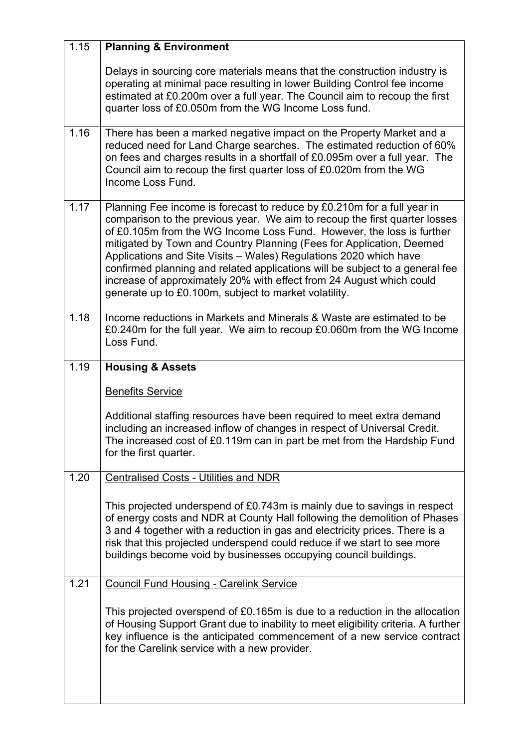| 1.15 | <b>Planning &amp; Environment</b>                                                                                                                                                                                                                                                                                                                                                                                                                                                                                                                                                            |
|------|----------------------------------------------------------------------------------------------------------------------------------------------------------------------------------------------------------------------------------------------------------------------------------------------------------------------------------------------------------------------------------------------------------------------------------------------------------------------------------------------------------------------------------------------------------------------------------------------|
|      | Delays in sourcing core materials means that the construction industry is<br>operating at minimal pace resulting in lower Building Control fee income<br>estimated at £0.200m over a full year. The Council aim to recoup the first<br>quarter loss of £0.050m from the WG Income Loss fund.                                                                                                                                                                                                                                                                                                 |
| 1.16 | There has been a marked negative impact on the Property Market and a<br>reduced need for Land Charge searches. The estimated reduction of 60%<br>on fees and charges results in a shortfall of £0.095m over a full year. The<br>Council aim to recoup the first quarter loss of £0.020m from the WG<br>Income Loss Fund.                                                                                                                                                                                                                                                                     |
| 1.17 | Planning Fee income is forecast to reduce by £0.210m for a full year in<br>comparison to the previous year. We aim to recoup the first quarter losses<br>of £0.105m from the WG Income Loss Fund. However, the loss is further<br>mitigated by Town and Country Planning (Fees for Application, Deemed<br>Applications and Site Visits - Wales) Regulations 2020 which have<br>confirmed planning and related applications will be subject to a general fee<br>increase of approximately 20% with effect from 24 August which could<br>generate up to £0.100m, subject to market volatility. |
| 1.18 | Income reductions in Markets and Minerals & Waste are estimated to be<br>£0.240m for the full year. We aim to recoup £0.060m from the WG Income<br>Loss Fund.                                                                                                                                                                                                                                                                                                                                                                                                                                |
| 1.19 | <b>Housing &amp; Assets</b>                                                                                                                                                                                                                                                                                                                                                                                                                                                                                                                                                                  |
|      | <b>Benefits Service</b>                                                                                                                                                                                                                                                                                                                                                                                                                                                                                                                                                                      |
|      | Additional staffing resources have been required to meet extra demand<br>including an increased inflow of changes in respect of Universal Credit.<br>The increased cost of £0.119m can in part be met from the Hardship Fund<br>for the first quarter.                                                                                                                                                                                                                                                                                                                                       |
| 1.20 | <b>Centralised Costs - Utilities and NDR</b>                                                                                                                                                                                                                                                                                                                                                                                                                                                                                                                                                 |
|      | This projected underspend of £0.743m is mainly due to savings in respect<br>of energy costs and NDR at County Hall following the demolition of Phases<br>3 and 4 together with a reduction in gas and electricity prices. There is a<br>risk that this projected underspend could reduce if we start to see more<br>buildings become void by businesses occupying council buildings.                                                                                                                                                                                                         |
| 1.21 | <b>Council Fund Housing - Carelink Service</b>                                                                                                                                                                                                                                                                                                                                                                                                                                                                                                                                               |
|      | This projected overspend of £0.165m is due to a reduction in the allocation<br>of Housing Support Grant due to inability to meet eligibility criteria. A further<br>key influence is the anticipated commencement of a new service contract<br>for the Carelink service with a new provider.                                                                                                                                                                                                                                                                                                 |
|      |                                                                                                                                                                                                                                                                                                                                                                                                                                                                                                                                                                                              |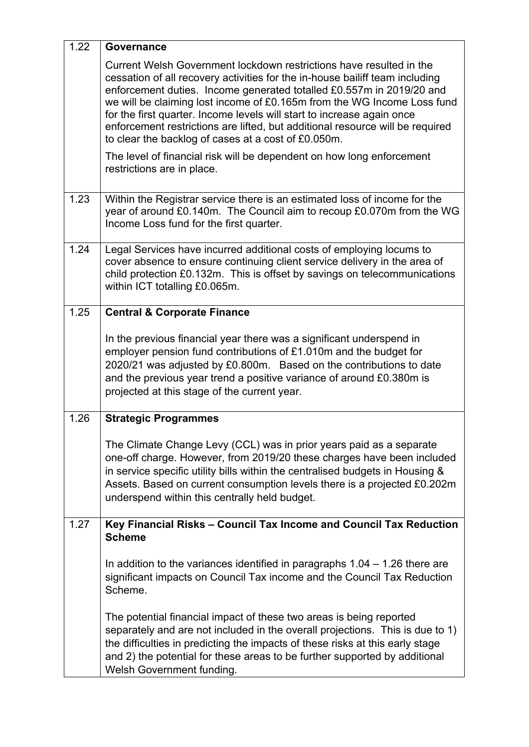| 1.22 | Governance                                                                                                                                                                                                                                                                                                                                                                                                                                                                                                               |
|------|--------------------------------------------------------------------------------------------------------------------------------------------------------------------------------------------------------------------------------------------------------------------------------------------------------------------------------------------------------------------------------------------------------------------------------------------------------------------------------------------------------------------------|
|      | Current Welsh Government lockdown restrictions have resulted in the<br>cessation of all recovery activities for the in-house bailiff team including<br>enforcement duties. Income generated totalled £0.557m in 2019/20 and<br>we will be claiming lost income of £0.165m from the WG Income Loss fund<br>for the first quarter. Income levels will start to increase again once<br>enforcement restrictions are lifted, but additional resource will be required<br>to clear the backlog of cases at a cost of £0.050m. |
|      | The level of financial risk will be dependent on how long enforcement<br>restrictions are in place.                                                                                                                                                                                                                                                                                                                                                                                                                      |
| 1.23 | Within the Registrar service there is an estimated loss of income for the<br>year of around £0.140m. The Council aim to recoup £0.070m from the WG<br>Income Loss fund for the first quarter.                                                                                                                                                                                                                                                                                                                            |
| 1.24 | Legal Services have incurred additional costs of employing locums to<br>cover absence to ensure continuing client service delivery in the area of<br>child protection £0.132m. This is offset by savings on telecommunications<br>within ICT totalling £0.065m.                                                                                                                                                                                                                                                          |
| 1.25 | <b>Central &amp; Corporate Finance</b>                                                                                                                                                                                                                                                                                                                                                                                                                                                                                   |
|      | In the previous financial year there was a significant underspend in<br>employer pension fund contributions of £1.010m and the budget for<br>2020/21 was adjusted by £0.800m. Based on the contributions to date<br>and the previous year trend a positive variance of around £0.380m is<br>projected at this stage of the current year.                                                                                                                                                                                 |
| 1.26 | <b>Strategic Programmes</b>                                                                                                                                                                                                                                                                                                                                                                                                                                                                                              |
|      | The Climate Change Levy (CCL) was in prior years paid as a separate<br>one-off charge. However, from 2019/20 these charges have been included<br>in service specific utility bills within the centralised budgets in Housing &<br>Assets. Based on current consumption levels there is a projected £0.202m<br>underspend within this centrally held budget.                                                                                                                                                              |
| 1.27 | Key Financial Risks - Council Tax Income and Council Tax Reduction<br><b>Scheme</b>                                                                                                                                                                                                                                                                                                                                                                                                                                      |
|      | In addition to the variances identified in paragraphs $1.04 - 1.26$ there are<br>significant impacts on Council Tax income and the Council Tax Reduction<br>Scheme.                                                                                                                                                                                                                                                                                                                                                      |
|      | The potential financial impact of these two areas is being reported<br>separately and are not included in the overall projections. This is due to 1)<br>the difficulties in predicting the impacts of these risks at this early stage<br>and 2) the potential for these areas to be further supported by additional<br>Welsh Government funding.                                                                                                                                                                         |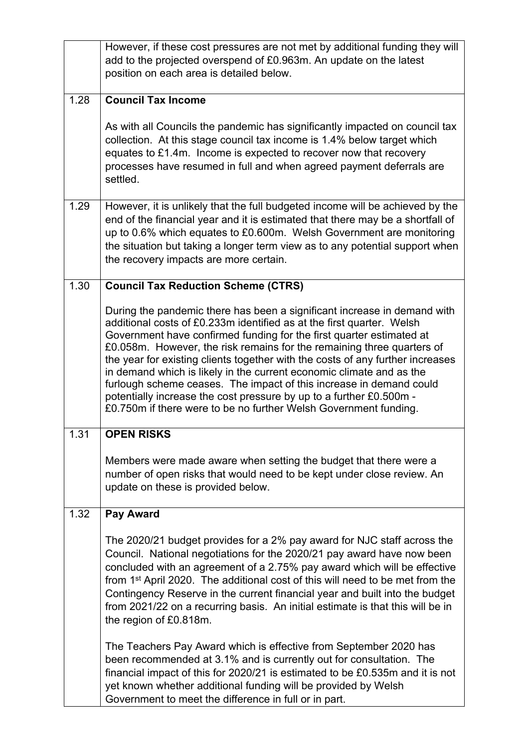|      | However, if these cost pressures are not met by additional funding they will<br>add to the projected overspend of £0.963m. An update on the latest<br>position on each area is detailed below.                                                                                                                                                                                                                                                                                                                                                                                                                                                                                  |
|------|---------------------------------------------------------------------------------------------------------------------------------------------------------------------------------------------------------------------------------------------------------------------------------------------------------------------------------------------------------------------------------------------------------------------------------------------------------------------------------------------------------------------------------------------------------------------------------------------------------------------------------------------------------------------------------|
| 1.28 | <b>Council Tax Income</b>                                                                                                                                                                                                                                                                                                                                                                                                                                                                                                                                                                                                                                                       |
|      | As with all Councils the pandemic has significantly impacted on council tax<br>collection. At this stage council tax income is 1.4% below target which<br>equates to £1.4m. Income is expected to recover now that recovery<br>processes have resumed in full and when agreed payment deferrals are<br>settled.                                                                                                                                                                                                                                                                                                                                                                 |
| 1.29 | However, it is unlikely that the full budgeted income will be achieved by the<br>end of the financial year and it is estimated that there may be a shortfall of<br>up to 0.6% which equates to £0.600m. Welsh Government are monitoring<br>the situation but taking a longer term view as to any potential support when<br>the recovery impacts are more certain.                                                                                                                                                                                                                                                                                                               |
| 1.30 | <b>Council Tax Reduction Scheme (CTRS)</b>                                                                                                                                                                                                                                                                                                                                                                                                                                                                                                                                                                                                                                      |
|      | During the pandemic there has been a significant increase in demand with<br>additional costs of £0.233m identified as at the first quarter. Welsh<br>Government have confirmed funding for the first quarter estimated at<br>£0.058m. However, the risk remains for the remaining three quarters of<br>the year for existing clients together with the costs of any further increases<br>in demand which is likely in the current economic climate and as the<br>furlough scheme ceases. The impact of this increase in demand could<br>potentially increase the cost pressure by up to a further £0.500m -<br>£0.750m if there were to be no further Welsh Government funding. |
| 1.31 | <b>OPEN RISKS</b>                                                                                                                                                                                                                                                                                                                                                                                                                                                                                                                                                                                                                                                               |
|      | Members were made aware when setting the budget that there were a<br>number of open risks that would need to be kept under close review. An<br>update on these is provided below.                                                                                                                                                                                                                                                                                                                                                                                                                                                                                               |
| 1.32 | Pay Award                                                                                                                                                                                                                                                                                                                                                                                                                                                                                                                                                                                                                                                                       |
|      | The 2020/21 budget provides for a 2% pay award for NJC staff across the<br>Council. National negotiations for the 2020/21 pay award have now been<br>concluded with an agreement of a 2.75% pay award which will be effective<br>from 1 <sup>st</sup> April 2020. The additional cost of this will need to be met from the<br>Contingency Reserve in the current financial year and built into the budget<br>from 2021/22 on a recurring basis. An initial estimate is that this will be in<br>the region of £0.818m.                                                                                                                                                           |
|      | The Teachers Pay Award which is effective from September 2020 has<br>been recommended at 3.1% and is currently out for consultation. The<br>financial impact of this for 2020/21 is estimated to be £0.535m and it is not<br>yet known whether additional funding will be provided by Welsh<br>Government to meet the difference in full or in part.                                                                                                                                                                                                                                                                                                                            |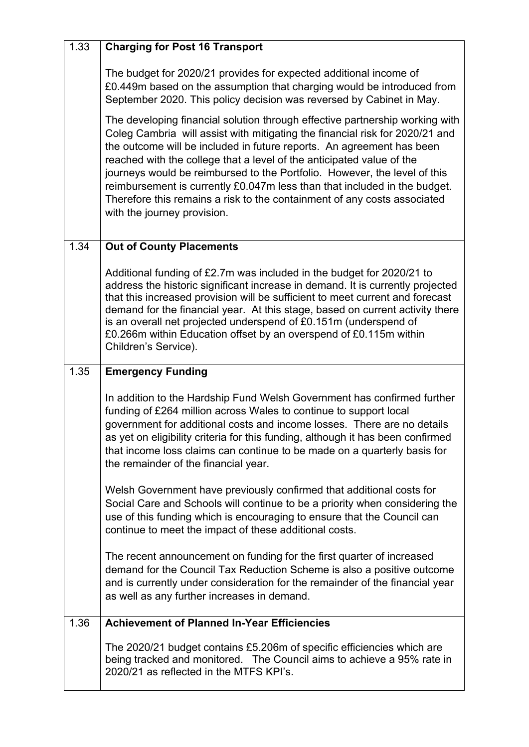| 1.33 | <b>Charging for Post 16 Transport</b>                                                                                                                                                                                                                                                                                                                                                                                                                                                                                                                                               |
|------|-------------------------------------------------------------------------------------------------------------------------------------------------------------------------------------------------------------------------------------------------------------------------------------------------------------------------------------------------------------------------------------------------------------------------------------------------------------------------------------------------------------------------------------------------------------------------------------|
|      | The budget for 2020/21 provides for expected additional income of<br>£0.449m based on the assumption that charging would be introduced from<br>September 2020. This policy decision was reversed by Cabinet in May.                                                                                                                                                                                                                                                                                                                                                                 |
|      | The developing financial solution through effective partnership working with<br>Coleg Cambria will assist with mitigating the financial risk for 2020/21 and<br>the outcome will be included in future reports. An agreement has been<br>reached with the college that a level of the anticipated value of the<br>journeys would be reimbursed to the Portfolio. However, the level of this<br>reimbursement is currently £0.047m less than that included in the budget.<br>Therefore this remains a risk to the containment of any costs associated<br>with the journey provision. |
| 1.34 | <b>Out of County Placements</b>                                                                                                                                                                                                                                                                                                                                                                                                                                                                                                                                                     |
|      | Additional funding of £2.7m was included in the budget for 2020/21 to<br>address the historic significant increase in demand. It is currently projected<br>that this increased provision will be sufficient to meet current and forecast<br>demand for the financial year. At this stage, based on current activity there<br>is an overall net projected underspend of £0.151m (underspend of<br>£0.266m within Education offset by an overspend of £0.115m within<br>Children's Service).                                                                                          |
|      |                                                                                                                                                                                                                                                                                                                                                                                                                                                                                                                                                                                     |
| 1.35 | <b>Emergency Funding</b>                                                                                                                                                                                                                                                                                                                                                                                                                                                                                                                                                            |
|      | In addition to the Hardship Fund Welsh Government has confirmed further<br>funding of £264 million across Wales to continue to support local<br>government for additional costs and income losses. There are no details<br>as yet on eligibility criteria for this funding, although it has been confirmed<br>that income loss claims can continue to be made on a quarterly basis for<br>the remainder of the financial year.                                                                                                                                                      |
|      | Welsh Government have previously confirmed that additional costs for<br>Social Care and Schools will continue to be a priority when considering the<br>use of this funding which is encouraging to ensure that the Council can<br>continue to meet the impact of these additional costs.                                                                                                                                                                                                                                                                                            |
|      | The recent announcement on funding for the first quarter of increased<br>demand for the Council Tax Reduction Scheme is also a positive outcome<br>and is currently under consideration for the remainder of the financial year<br>as well as any further increases in demand.                                                                                                                                                                                                                                                                                                      |
| 1.36 | <b>Achievement of Planned In-Year Efficiencies</b>                                                                                                                                                                                                                                                                                                                                                                                                                                                                                                                                  |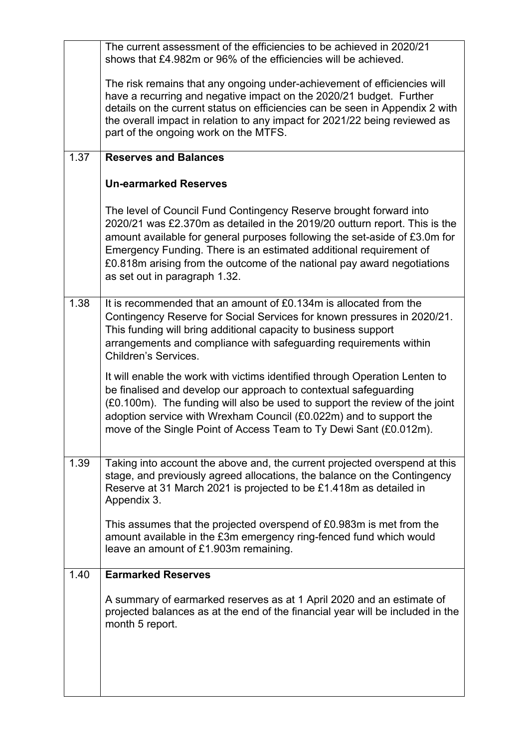|      | The current assessment of the efficiencies to be achieved in 2020/21<br>shows that £4.982m or 96% of the efficiencies will be achieved.                                                                                                                                                                                                                                                                          |
|------|------------------------------------------------------------------------------------------------------------------------------------------------------------------------------------------------------------------------------------------------------------------------------------------------------------------------------------------------------------------------------------------------------------------|
|      | The risk remains that any ongoing under-achievement of efficiencies will<br>have a recurring and negative impact on the 2020/21 budget. Further<br>details on the current status on efficiencies can be seen in Appendix 2 with<br>the overall impact in relation to any impact for 2021/22 being reviewed as<br>part of the ongoing work on the MTFS.                                                           |
| 1.37 | <b>Reserves and Balances</b>                                                                                                                                                                                                                                                                                                                                                                                     |
|      | <b>Un-earmarked Reserves</b>                                                                                                                                                                                                                                                                                                                                                                                     |
|      | The level of Council Fund Contingency Reserve brought forward into<br>2020/21 was £2.370m as detailed in the 2019/20 outturn report. This is the<br>amount available for general purposes following the set-aside of £3.0m for<br>Emergency Funding. There is an estimated additional requirement of<br>£0.818m arising from the outcome of the national pay award negotiations<br>as set out in paragraph 1.32. |
| 1.38 | It is recommended that an amount of £0.134m is allocated from the<br>Contingency Reserve for Social Services for known pressures in 2020/21.<br>This funding will bring additional capacity to business support<br>arrangements and compliance with safeguarding requirements within<br><b>Children's Services.</b>                                                                                              |
|      | It will enable the work with victims identified through Operation Lenten to<br>be finalised and develop our approach to contextual safeguarding<br>(£0.100m). The funding will also be used to support the review of the joint<br>adoption service with Wrexham Council (£0.022m) and to support the<br>move of the Single Point of Access Team to Ty Dewi Sant (£0.012m).                                       |
| 1.39 | Taking into account the above and, the current projected overspend at this<br>stage, and previously agreed allocations, the balance on the Contingency<br>Reserve at 31 March 2021 is projected to be £1.418m as detailed in<br>Appendix 3.                                                                                                                                                                      |
|      | This assumes that the projected overspend of £0.983m is met from the<br>amount available in the £3m emergency ring-fenced fund which would<br>leave an amount of £1.903m remaining.                                                                                                                                                                                                                              |
| 1.40 | <b>Earmarked Reserves</b>                                                                                                                                                                                                                                                                                                                                                                                        |
|      | A summary of earmarked reserves as at 1 April 2020 and an estimate of<br>projected balances as at the end of the financial year will be included in the<br>month 5 report.                                                                                                                                                                                                                                       |
|      |                                                                                                                                                                                                                                                                                                                                                                                                                  |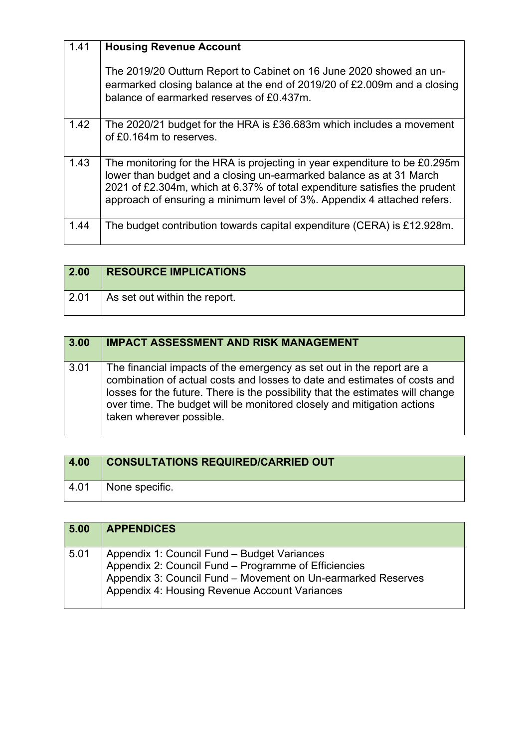| 1.41 | <b>Housing Revenue Account</b>                                                                                                                                                                                                                                                                             |
|------|------------------------------------------------------------------------------------------------------------------------------------------------------------------------------------------------------------------------------------------------------------------------------------------------------------|
|      | The 2019/20 Outturn Report to Cabinet on 16 June 2020 showed an un-<br>earmarked closing balance at the end of 2019/20 of £2.009m and a closing<br>balance of earmarked reserves of £0.437m.                                                                                                               |
| 1.42 | The 2020/21 budget for the HRA is £36.683m which includes a movement<br>of £0.164m to reserves.                                                                                                                                                                                                            |
| 1.43 | The monitoring for the HRA is projecting in year expenditure to be £0.295m<br>lower than budget and a closing un-earmarked balance as at 31 March<br>2021 of £2.304m, which at 6.37% of total expenditure satisfies the prudent<br>approach of ensuring a minimum level of 3%. Appendix 4 attached refers. |
| 1.44 | The budget contribution towards capital expenditure (CERA) is £12.928m.                                                                                                                                                                                                                                    |

| 2.00         | <b>RESOURCE IMPLICATIONS</b>  |
|--------------|-------------------------------|
| $\vert$ 2.01 | As set out within the report. |

| 3.00 | <b>IMPACT ASSESSMENT AND RISK MANAGEMENT</b>                                                                                                                                                                                                                                                                                               |
|------|--------------------------------------------------------------------------------------------------------------------------------------------------------------------------------------------------------------------------------------------------------------------------------------------------------------------------------------------|
| 3.01 | The financial impacts of the emergency as set out in the report are a<br>combination of actual costs and losses to date and estimates of costs and<br>losses for the future. There is the possibility that the estimates will change<br>over time. The budget will be monitored closely and mitigation actions<br>taken wherever possible. |

| 4.00 | <b>CONSULTATIONS REQUIRED/CARRIED OUT</b> |
|------|-------------------------------------------|
| 4.01 | None specific.                            |

| 5.00 | <b>APPENDICES</b>                                                                                                                                                                                                    |
|------|----------------------------------------------------------------------------------------------------------------------------------------------------------------------------------------------------------------------|
| 5.01 | Appendix 1: Council Fund - Budget Variances<br>Appendix 2: Council Fund - Programme of Efficiencies<br>Appendix 3: Council Fund - Movement on Un-earmarked Reserves<br>Appendix 4: Housing Revenue Account Variances |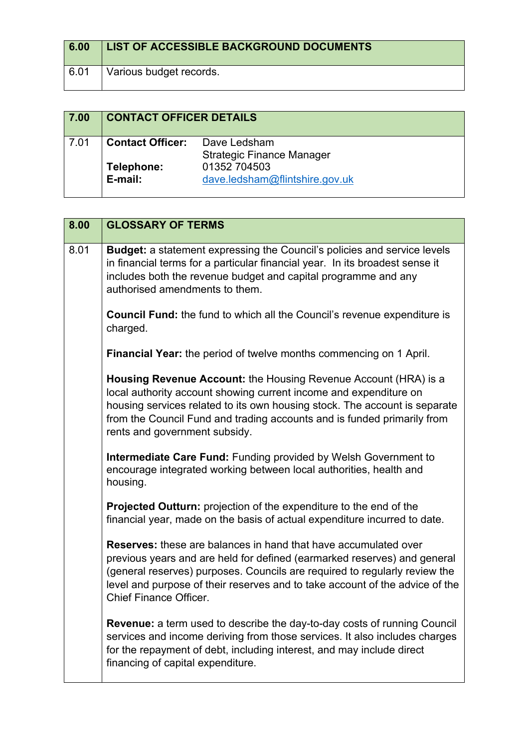| 6.00 | LIST OF ACCESSIBLE BACKGROUND DOCUMENTS |
|------|-----------------------------------------|
| 6.01 | Various budget records.                 |

| 7.00 | <b>CONTACT OFFICER DETAILS</b> |                                                  |
|------|--------------------------------|--------------------------------------------------|
| 7.01 | <b>Contact Officer:</b>        | Dave Ledsham<br><b>Strategic Finance Manager</b> |
|      | Telephone:<br>E-mail:          | 01352 704503<br>dave.ledsham@flintshire.gov.uk   |

| 8.00 | <b>GLOSSARY OF TERMS</b>                                                                                                                                                                                                                                                                                                                          |
|------|---------------------------------------------------------------------------------------------------------------------------------------------------------------------------------------------------------------------------------------------------------------------------------------------------------------------------------------------------|
| 8.01 | <b>Budget:</b> a statement expressing the Council's policies and service levels<br>in financial terms for a particular financial year. In its broadest sense it<br>includes both the revenue budget and capital programme and any<br>authorised amendments to them.                                                                               |
|      | <b>Council Fund:</b> the fund to which all the Council's revenue expenditure is<br>charged.                                                                                                                                                                                                                                                       |
|      | <b>Financial Year:</b> the period of twelve months commencing on 1 April.                                                                                                                                                                                                                                                                         |
|      | Housing Revenue Account: the Housing Revenue Account (HRA) is a<br>local authority account showing current income and expenditure on<br>housing services related to its own housing stock. The account is separate<br>from the Council Fund and trading accounts and is funded primarily from<br>rents and government subsidy.                    |
|      | <b>Intermediate Care Fund: Funding provided by Welsh Government to</b><br>encourage integrated working between local authorities, health and<br>housing.                                                                                                                                                                                          |
|      | Projected Outturn: projection of the expenditure to the end of the<br>financial year, made on the basis of actual expenditure incurred to date.                                                                                                                                                                                                   |
|      | <b>Reserves:</b> these are balances in hand that have accumulated over<br>previous years and are held for defined (earmarked reserves) and general<br>(general reserves) purposes. Councils are required to regularly review the<br>level and purpose of their reserves and to take account of the advice of the<br><b>Chief Finance Officer.</b> |
|      | <b>Revenue:</b> a term used to describe the day-to-day costs of running Council<br>services and income deriving from those services. It also includes charges<br>for the repayment of debt, including interest, and may include direct<br>financing of capital expenditure.                                                                       |